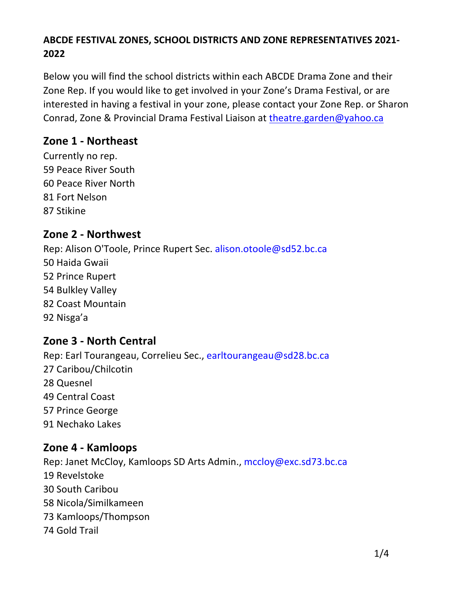### ABCDE FESTIVAL ZONES, SCHOOL DISTRICTS AND ZONE REPRESENTATIVES 2021-2022

Below you will find the school districts within each ABCDE Drama Zone and their Zone Rep. If you would like to get involved in your Zone's Drama Festival, or are interested in having a festival in your zone, please contact your Zone Rep. or Sharon Conrad, Zone & Provincial Drama Festival Liaison at theatre.garden@vahoo.ca

### Zone 1 - Northeast

Currently no rep. 59 Peace River South 60 Peace River North 81 Fort Nelson 87 Stikine

# Zone 2 - Northwest

Rep: Alison O'Toole, Prince Rupert Sec. alison.otoole@sd52.bc.ca 50 Haida Gwaii 52 Prince Rupert 54 Bulkley Valley 82 Coast Mountain 92 Nisga'a

### Zone 3 - North Central

Rep: Earl Tourangeau, Correlieu Sec., earltourangeau@sd28.bc.ca 27 Caribou/Chilcotin 28 Quesnel 49 Central Coast 57 Prince George 91 Nechako Lakes

### Zone 4 - Kamloops

Rep: Janet McCloy, Kamloops SD Arts Admin., mccloy@exc.sd73.bc.ca 19 Revelstoke 30 South Caribou 58 Nicola/Similkameen 73 Kamloops/Thompson 74 Gold Trail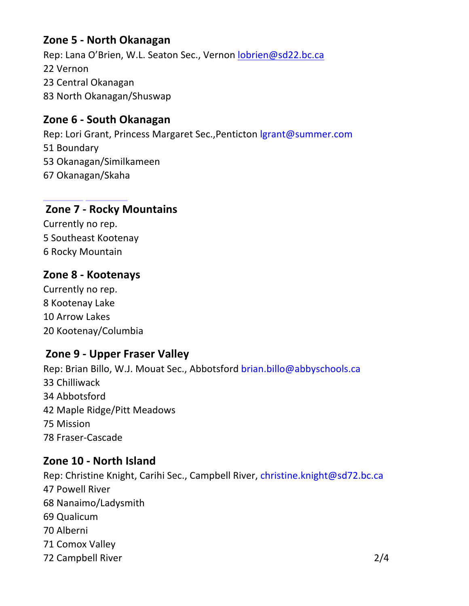# Zone 5 - North Okanagan

Rep: Lana O'Brien, W.L. Seaton Sec., Vernon lobrien@sd22.bc.ca 22 Vernon 23 Central Okanagan 83 North Okanagan/Shuswap

## Zone 6 - South Okanagan

Rep: Lori Grant, Princess Margaret Sec., Penticton Igrant@summer.com 51 Boundary 53 Okanagan/Similkameen 67 Okanagan/Skaha

### Zone 7 - Rocky Mountains

Currently no rep. 5 Southeast Kootenav 6 Rocky Mountain

### Zone 8 - Kootenays

Currently no rep. 8 Kootenay Lake 10 Arrow Lakes 20 Kootenay/Columbia

### Zone 9 - Upper Fraser Valley

Rep: Brian Billo, W.J. Mouat Sec., Abbotsford brian.billo@abbyschools.ca 33 Chilliwack 34 Abbotsford 42 Maple Ridge/Pitt Meadows 75 Mission 78 Fraser-Cascade

### Zone 10 - North Island

Rep: Christine Knight, Carihi Sec., Campbell River, christine.knight@sd72.bc.ca 47 Powell River 68 Nanaimo/Ladysmith 69 Qualicum 70 Alberni 71 Comox Valley 72 Campbell River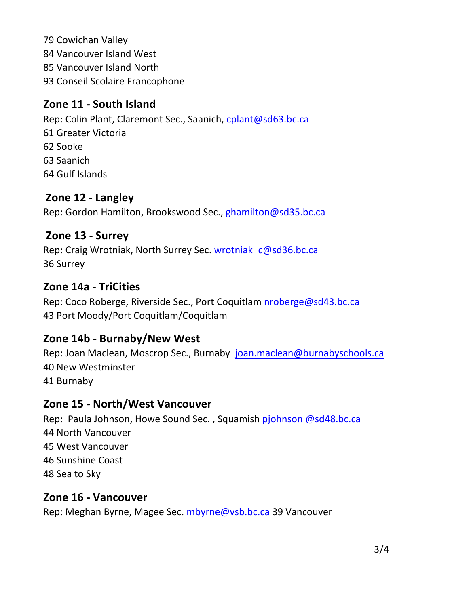79 Cowichan Valley 84 Vancouver Island West 85 Vancouver Island North 93 Conseil Scolaire Francophone

# Zone 11 - South Island

Rep: Colin Plant, Claremont Sec., Saanich, cplant@sd63.bc.ca 61 Greater Victoria 62 Sooke 63 Saanich 64 Gulf Islands

# Zone 12 - Langley

Rep: Gordon Hamilton, Brookswood Sec., ghamilton@sd35.bc.ca

### Zone 13 - Surrey

Rep: Craig Wrotniak, North Surrey Sec. wrotniak c@sd36.bc.ca 36 Surrey

#### Zone 14a - TriCities

Rep: Coco Roberge, Riverside Sec., Port Coquitlam nroberge@sd43.bc.ca 43 Port Moody/Port Coquitlam/Coquitlam

### Zone 14b - Burnaby/New West

Rep: Joan Maclean, Moscrop Sec., Burnaby joan.maclean@burnabyschools.ca 40 New Westminster 41 Burnaby

#### Zone 15 - North/West Vancouver

Rep: Paula Johnson, Howe Sound Sec., Squamish pjohnson @sd48.bc.ca 44 North Vancouver 45 West Vancouver 46 Sunshine Coast 48 Sea to Sky

#### Zone 16 - Vancouver

Rep: Meghan Byrne, Magee Sec. mbyrne@vsb.bc.ca 39 Vancouver